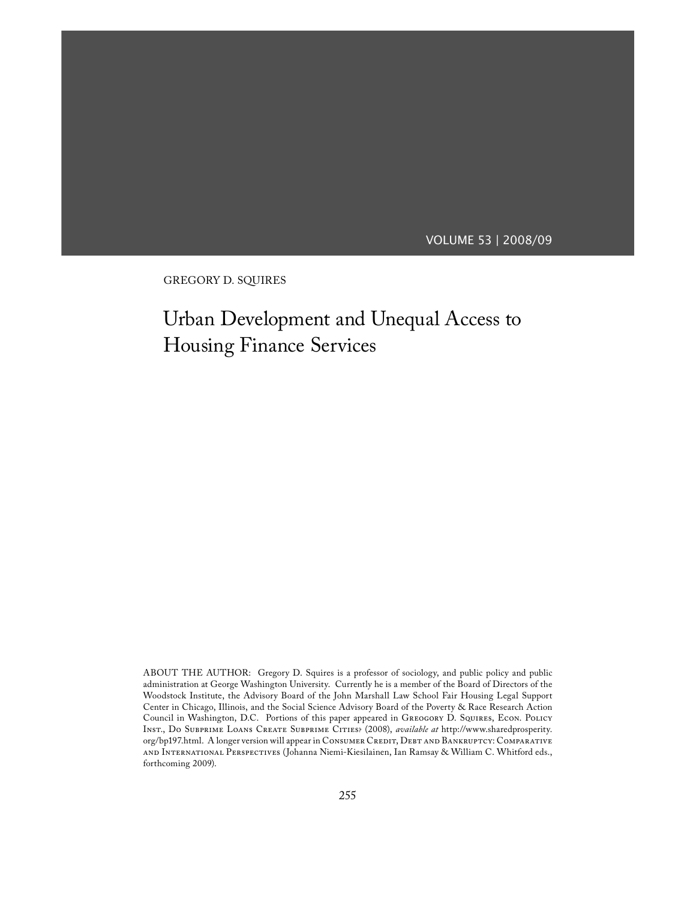# VOLUME 53 | 2008/09

GREGORY D. SQUIRES

# Urban Development and Unequal Access to Housing Finance Services

ABOUT THE AUTHOR: Gregory D. Squires is a professor of sociology, and public policy and public administration at George Washington University. Currently he is a member of the Board of Directors of the Woodstock Institute, the Advisory Board of the John Marshall Law School Fair Housing Legal Support Center in Chicago, Illinois, and the Social Science Advisory Board of the Poverty & Race Research Action Council in Washington, D.C. Portions of this paper appeared in Greogory D. Squires, Econ. Policy Inst., Do Subprime Loans Create Subprime Cities? (2008), *available at* http://www.sharedprosperity. org/bp197.html. A longer version will appear in CONSUMER CREDIT, DEBT AND BANKRUPTCY: COMPARATIVE and International Perspectives (Johanna Niemi-Kiesilainen, Ian Ramsay & William C. Whitford eds., forthcoming 2009).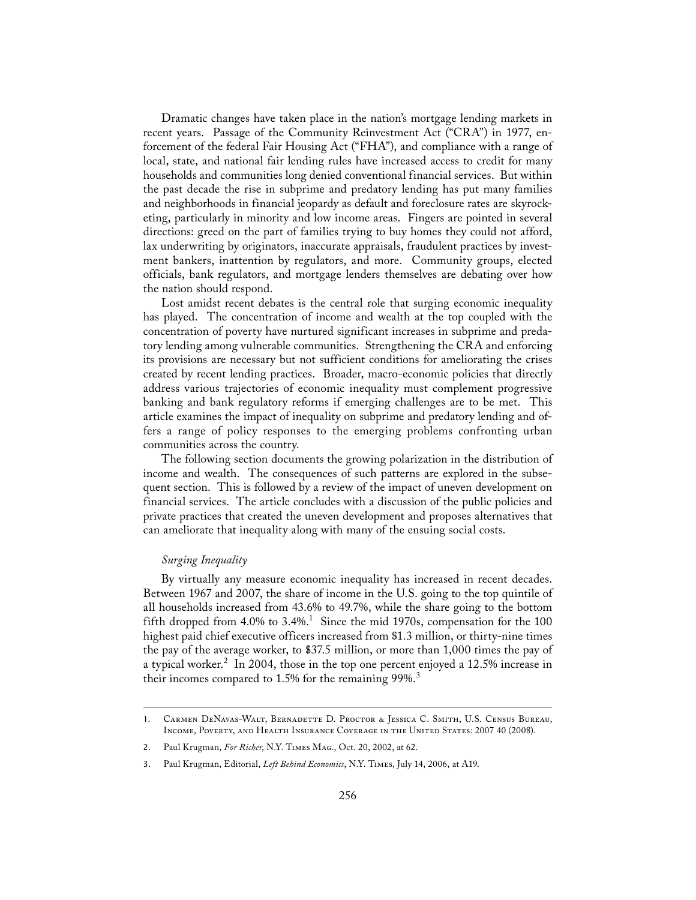Dramatic changes have taken place in the nation's mortgage lending markets in recent years. Passage of the Community Reinvestment Act ("CRA") in 1977, enforcement of the federal Fair Housing Act ("FHA"), and compliance with a range of local, state, and national fair lending rules have increased access to credit for many households and communities long denied conventional financial services. But within the past decade the rise in subprime and predatory lending has put many families and neighborhoods in financial jeopardy as default and foreclosure rates are skyrocketing, particularly in minority and low income areas. Fingers are pointed in several directions: greed on the part of families trying to buy homes they could not afford, lax underwriting by originators, inaccurate appraisals, fraudulent practices by investment bankers, inattention by regulators, and more. Community groups, elected officials, bank regulators, and mortgage lenders themselves are debating over how the nation should respond.

 Lost amidst recent debates is the central role that surging economic inequality has played. The concentration of income and wealth at the top coupled with the concentration of poverty have nurtured significant increases in subprime and predatory lending among vulnerable communities. Strengthening the CRA and enforcing its provisions are necessary but not sufficient conditions for ameliorating the crises created by recent lending practices. Broader, macro-economic policies that directly address various trajectories of economic inequality must complement progressive banking and bank regulatory reforms if emerging challenges are to be met. This article examines the impact of inequality on subprime and predatory lending and offers a range of policy responses to the emerging problems confronting urban communities across the country.

 The following section documents the growing polarization in the distribution of income and wealth. The consequences of such patterns are explored in the subsequent section. This is followed by a review of the impact of uneven development on financial services. The article concludes with a discussion of the public policies and private practices that created the uneven development and proposes alternatives that can ameliorate that inequality along with many of the ensuing social costs.

# *Surging Inequality*

 By virtually any measure economic inequality has increased in recent decades. Between 1967 and 2007, the share of income in the U.S. going to the top quintile of all households increased from 43.6% to 49.7%, while the share going to the bottom fifth dropped from 4.0% to 3.4%.<sup>1</sup> Since the mid 1970s, compensation for the 100 highest paid chief executive officers increased from \$1.3 million, or thirty-nine times the pay of the average worker, to \$37.5 million, or more than 1,000 times the pay of a typical worker.<sup>2</sup> In 2004, those in the top one percent enjoyed a 12.5% increase in their incomes compared to 1.5% for the remaining 99%.<sup>3</sup>

<sup>1.</sup> Carmen DeNavas-Walt, Bernadette D. Proctor & Jessica C. Smith, U.S. Census Bureau, INCOME, POVERTY, AND HEALTH INSURANCE COVERAGE IN THE UNITED STATES: 2007 40 (2008).

<sup>2.</sup> Paul Krugman, *For Richer*, N.Y. Times Mag., Oct. 20, 2002, at 62.

<sup>3.</sup> Paul Krugman, Editorial, *Left Behind Economics*, N.Y. Times, July 14, 2006, at A19.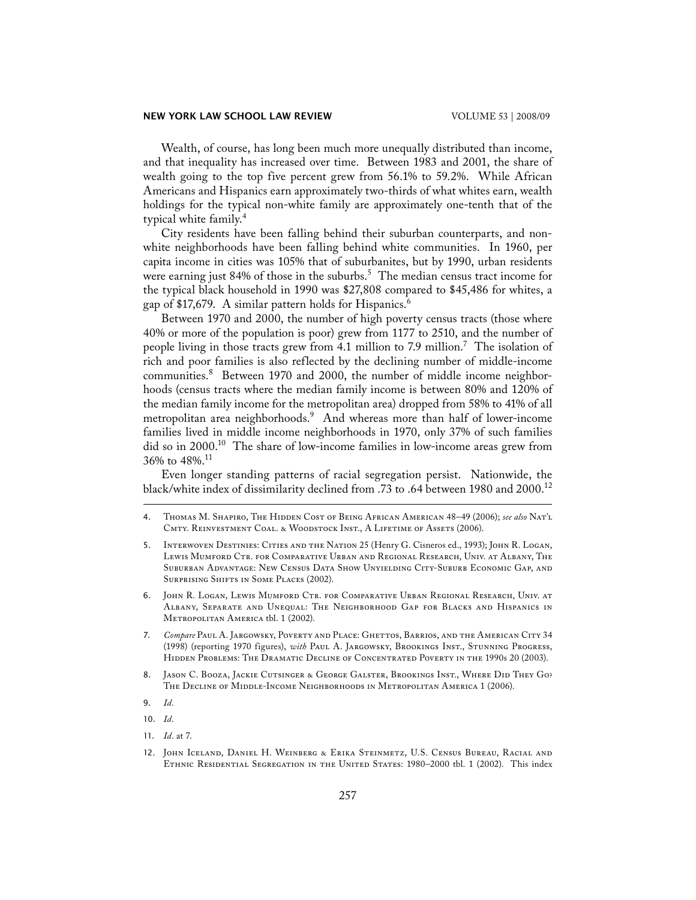## **NEW YORK LAW SCHOOL LAW REVIEW**  VOLUME 53 | 2008/09

 Wealth, of course, has long been much more unequally distributed than income, and that inequality has increased over time. Between 1983 and 2001, the share of wealth going to the top five percent grew from 56.1% to 59.2%. While African Americans and Hispanics earn approximately two-thirds of what whites earn, wealth holdings for the typical non-white family are approximately one-tenth that of the typical white family.<sup>4</sup>

 City residents have been falling behind their suburban counterparts, and nonwhite neighborhoods have been falling behind white communities. In 1960, per capita income in cities was 105% that of suburbanites, but by 1990, urban residents were earning just 84% of those in the suburbs.<sup>5</sup> The median census tract income for the typical black household in 1990 was \$27,808 compared to \$45,486 for whites, a gap of \$17,679. A similar pattern holds for Hispanics.<sup>6</sup>

 Between 1970 and 2000, the number of high poverty census tracts (those where 40% or more of the population is poor) grew from 1177 to 2510, and the number of people living in those tracts grew from 4.1 million to 7.9 million.<sup>7</sup> The isolation of rich and poor families is also reflected by the declining number of middle-income communities.<sup>8</sup> Between 1970 and 2000, the number of middle income neighborhoods (census tracts where the median family income is between 80% and 120% of the median family income for the metropolitan area) dropped from 58% to 41% of all metropolitan area neighborhoods.<sup>9</sup> And whereas more than half of lower-income families lived in middle income neighborhoods in 1970, only 37% of such families did so in 2000.10 The share of low-income families in low-income areas grew from 36% to 48%.11

 Even longer standing patterns of racial segregation persist. Nationwide, the black/white index of dissimilarity declined from .73 to .64 between 1980 and 2000.12

- 4. Thomas M. Shapiro, The Hidden Cost of Being African American 48–49 (2006); *see also* Nat'l CMTY. REINVESTMENT COAL. & WOODSTOCK INST., A LIFETIME OF ASSETS (2006).
- 5. Interwoven Destinies: Cities and the Nation 25 (Henry G. Cisneros ed., 1993); John R. Logan, Lewis Mumford Ctr. for Comparative Urban and Regional Research, Univ. at Albany, The Suburban Advantage: New Census Data Show Unyielding City-Suburb Economic Gap, and SURPRISING SHIFTS IN SOME PLACES (2002).
- 6. John R. Logan, Lewis Mumford Ctr. for Comparative Urban Regional Research, Univ. at Albany, Separate and Unequal: The Neighborhood Gap for Blacks and Hispanics in METROPOLITAN AMERICA tbl. 1 (2002).
- 7. *Compare* Paul A. Jargowsky, Poverty and Place: Ghettos, Barrios, and the American City 34 (1998) (reporting 1970 figures), *with* Paul A. Jargowsky, Brookings Inst., Stunning Progress, Hidden Problems: The Dramatic Decline of Concentrated Poverty in the 1990s 20 (2003).
- 8. Jason C. Booza, Jackie Cutsinger & George Galster, Brookings Inst., Where Did They Go? The Decline of Middle-Income Neighborhoods in Metropolitan America 1 (2006).
- 9. *Id*.
- 10. *Id*.
- 11. *Id*. at 7.

<sup>12.</sup> John Iceland, Daniel H. Weinberg & Erika Steinmetz, U.S. Census Bureau, Racial and Ethnic Residential Segregation in the United States: 1980–2000 tbl. 1 (2002). This index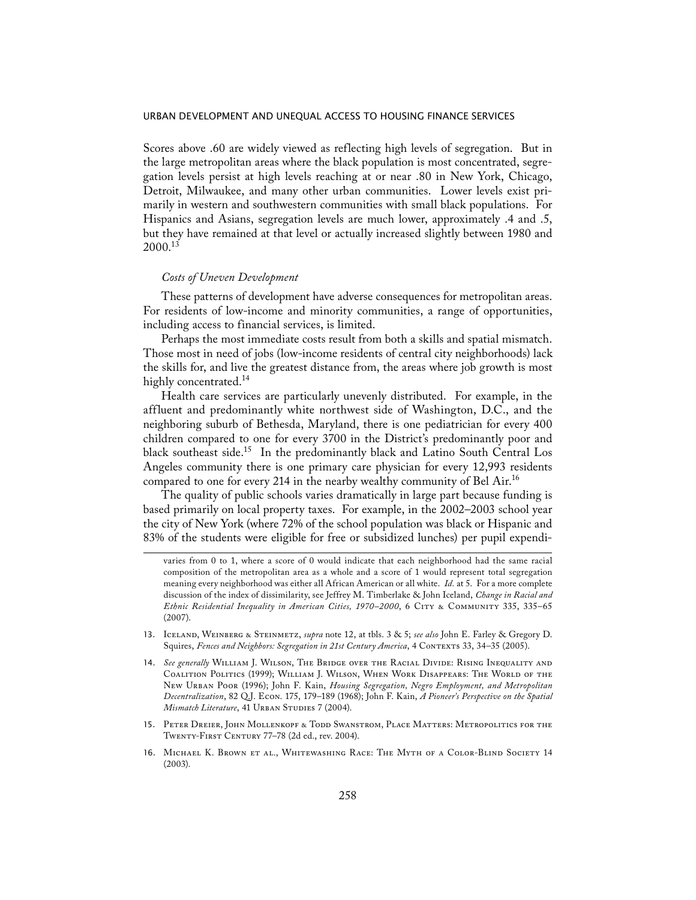Scores above .60 are widely viewed as reflecting high levels of segregation. But in the large metropolitan areas where the black population is most concentrated, segregation levels persist at high levels reaching at or near .80 in New York, Chicago, Detroit, Milwaukee, and many other urban communities. Lower levels exist primarily in western and southwestern communities with small black populations. For Hispanics and Asians, segregation levels are much lower, approximately .4 and .5, but they have remained at that level or actually increased slightly between 1980 and  $2000^{13}$ 

## *Costs of Uneven Development*

 These patterns of development have adverse consequences for metropolitan areas. For residents of low-income and minority communities, a range of opportunities, including access to financial services, is limited.

 Perhaps the most immediate costs result from both a skills and spatial mismatch. Those most in need of jobs (low-income residents of central city neighborhoods) lack the skills for, and live the greatest distance from, the areas where job growth is most highly concentrated.<sup>14</sup>

 Health care services are particularly unevenly distributed. For example, in the affluent and predominantly white northwest side of Washington, D.C., and the neighboring suburb of Bethesda, Maryland, there is one pediatrician for every 400 children compared to one for every 3700 in the District's predominantly poor and black southeast side.<sup>15</sup> In the predominantly black and Latino South Central Los Angeles community there is one primary care physician for every 12,993 residents compared to one for every 214 in the nearby wealthy community of Bel Air.<sup>16</sup>

 The quality of public schools varies dramatically in large part because funding is based primarily on local property taxes. For example, in the 2002–2003 school year the city of New York (where 72% of the school population was black or Hispanic and 83% of the students were eligible for free or subsidized lunches) per pupil expendi-

- 13. Iceland, Weinberg & Steinmetz, *supra* note 12, at tbls. 3 & 5; *see also* John E. Farley & Gregory D. Squires, *Fences and Neighbors: Segregation in 21st Century America*, 4 Contexts 33, 34–35 (2005).
- 14. *See generally* William J. Wilson, The Bridge over the Racial Divide: Rising Inequality and Coalition Politics (1999); William J. Wilson, When Work Disappears: The World of the New Urban Poor (1996); John F. Kain, *Housing Segregation, Negro Employment, and Metropolitan Decentralization*, 82 Q.J. Econ. 175, 179–189 (1968); John F. Kain, *A Pioneer's Perspective on the Spatial Mismatch Literature*, 41 URBAN STUDIES 7 (2004).
- 15. Peter Dreier, John Mollenkopf & Todd Swanstrom, Place Matters: Metropolitics for the Twenty-First Century 77–78 (2d ed., rev. 2004).
- 16. Michael K. Brown et al., Whitewashing Race: The Myth of a Color-Blind Society 14 (2003).

varies from 0 to 1, where a score of 0 would indicate that each neighborhood had the same racial composition of the metropolitan area as a whole and a score of 1 would represent total segregation meaning every neighborhood was either all African American or all white. *Id.* at 5. For a more complete discussion of the index of dissimilarity, see Jeffrey M. Timberlake & John Iceland, *Change in Racial and Ethnic Residential Inequality in American Cities, 1970–2000*, 6 City & Community 335, 335–65 (2007).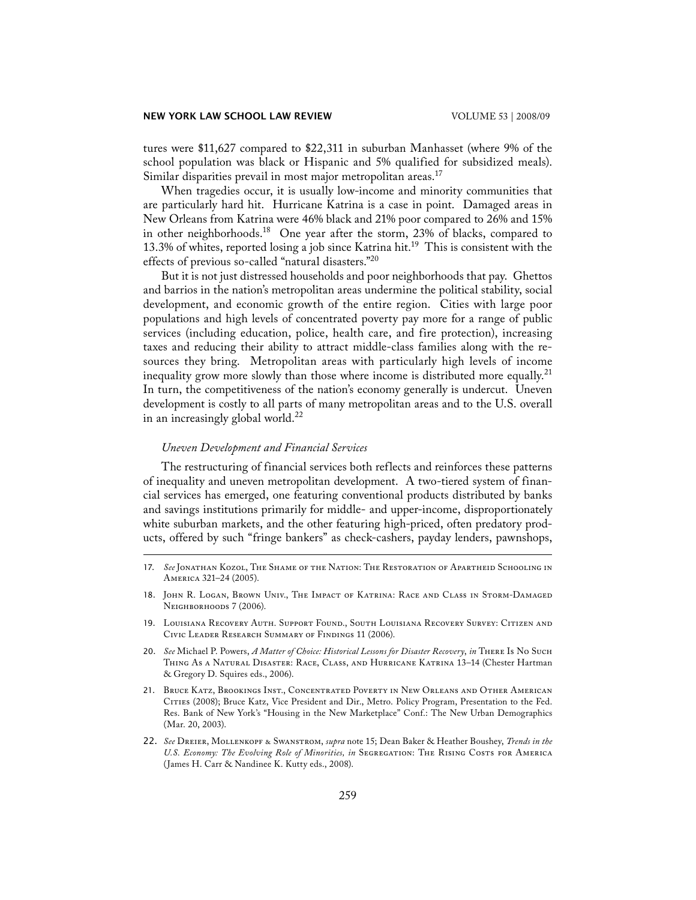tures were \$11,627 compared to \$22,311 in suburban Manhasset (where 9% of the school population was black or Hispanic and 5% qualified for subsidized meals). Similar disparities prevail in most major metropolitan areas.<sup>17</sup>

 When tragedies occur, it is usually low-income and minority communities that are particularly hard hit. Hurricane Katrina is a case in point. Damaged areas in New Orleans from Katrina were 46% black and 21% poor compared to 26% and 15% in other neighborhoods.<sup>18</sup> One year after the storm, 23% of blacks, compared to 13.3% of whites, reported losing a job since Katrina hit.<sup>19</sup> This is consistent with the effects of previous so-called "natural disasters."20

 But it is not just distressed households and poor neighborhoods that pay. Ghettos and barrios in the nation's metropolitan areas undermine the political stability, social development, and economic growth of the entire region. Cities with large poor populations and high levels of concentrated poverty pay more for a range of public services (including education, police, health care, and fire protection), increasing taxes and reducing their ability to attract middle-class families along with the resources they bring. Metropolitan areas with particularly high levels of income inequality grow more slowly than those where income is distributed more equally.<sup>21</sup> In turn, the competitiveness of the nation's economy generally is undercut. Uneven development is costly to all parts of many metropolitan areas and to the U.S. overall in an increasingly global world. $^{22}$ 

### *Uneven Development and Financial Services*

 The restructuring of financial services both reflects and reinforces these patterns of inequality and uneven metropolitan development. A two-tiered system of financial services has emerged, one featuring conventional products distributed by banks and savings institutions primarily for middle- and upper-income, disproportionately white suburban markets, and the other featuring high-priced, often predatory products, offered by such "fringe bankers" as check-cashers, payday lenders, pawnshops,

- 21. Bruce Katz, Brookings Inst., Concentrated Poverty in New Orleans and Other American Cities (2008); Bruce Katz, Vice President and Dir., Metro. Policy Program, Presentation to the Fed. Res. Bank of New York's "Housing in the New Marketplace" Conf.: The New Urban Demographics (Mar. 20, 2003).
- 22. *See* Dreier, Mollenkopf & Swanstrom, *supra* note 15; Dean Baker & Heather Boushey, *Trends in the*  U.S. Economy: The Evolving Role of Minorities, in SEGREGATION: THE RISING COSTS FOR AMERICA (James H. Carr & Nandinee K. Kutty eds., 2008).

<sup>17.</sup> *See* Jonathan Kozol, The Shame of the Nation: The Restoration of Apartheid Schooling in America 321–24 (2005).

<sup>18.</sup> John R. Logan, Brown Univ., The Impact of Katrina: Race and Class in Storm-Damaged NEIGHBORHOODS 7 (2006).

<sup>19.</sup> Louisiana Recovery Auth. Support Found., South Louisiana Recovery Survey: Citizen and Civic Leader Research Summary of Findings 11 (2006).

<sup>20.</sup> *See* Michael P. Powers, *A Matter of Choice: Historical Lessons for Disaster Recovery*, *in* There Is No Such Thing As a Natural Disaster: Race, Class, and Hurricane Katrina 13–14 (Chester Hartman & Gregory D. Squires eds., 2006).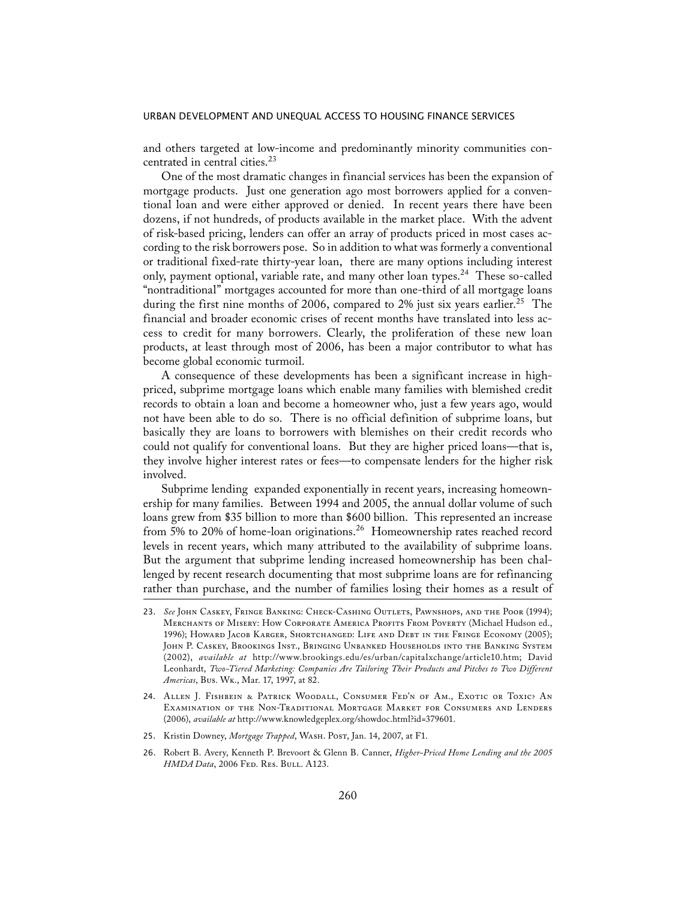and others targeted at low-income and predominantly minority communities concentrated in central cities.<sup>23</sup>

 One of the most dramatic changes in financial services has been the expansion of mortgage products. Just one generation ago most borrowers applied for a conventional loan and were either approved or denied. In recent years there have been dozens, if not hundreds, of products available in the market place. With the advent of risk-based pricing, lenders can offer an array of products priced in most cases according to the risk borrowers pose. So in addition to what was formerly a conventional or traditional fixed-rate thirty-year loan, there are many options including interest only, payment optional, variable rate, and many other loan types.<sup>24</sup> These so-called "nontraditional" mortgages accounted for more than one-third of all mortgage loans during the first nine months of 2006, compared to 2% just six years earlier.<sup>25</sup> The financial and broader economic crises of recent months have translated into less access to credit for many borrowers. Clearly, the proliferation of these new loan products, at least through most of 2006, has been a major contributor to what has become global economic turmoil.

 A consequence of these developments has been a significant increase in highpriced, subprime mortgage loans which enable many families with blemished credit records to obtain a loan and become a homeowner who, just a few years ago, would not have been able to do so. There is no official definition of subprime loans, but basically they are loans to borrowers with blemishes on their credit records who could not qualify for conventional loans. But they are higher priced loans—that is, they involve higher interest rates or fees—to compensate lenders for the higher risk involved.

 Subprime lending expanded exponentially in recent years, increasing homeownership for many families. Between 1994 and 2005, the annual dollar volume of such loans grew from \$35 billion to more than \$600 billion. This represented an increase from 5% to 20% of home-loan originations.<sup>26</sup> Homeownership rates reached record levels in recent years, which many attributed to the availability of subprime loans. But the argument that subprime lending increased homeownership has been challenged by recent research documenting that most subprime loans are for refinancing rather than purchase, and the number of families losing their homes as a result of

- 24. Allen J. Fishbein & Patrick Woodall, Consumer Fed'n of Am., Exotic or Toxic? An Examination of the Non-Traditional Mortgage Market for Consumers and Lenders (2006), *available at* http://www.knowledgeplex.org/showdoc.html?id=379601.
- 25. Kristin Downey, Mortgage Trapped, WASH. Post, Jan. 14, 2007, at F1.
- 26. Robert B. Avery, Kenneth P. Brevoort & Glenn B. Canner, *Higher-Priced Home Lending and the 2005 HMDA Data*, 2006 FED. RES. BULL. A123.

<sup>23.</sup> *See* John Caskey, Fringe Banking: Check-Cashing Outlets, Pawnshops, and the Poor (1994); MERCHANTS OF MISERY: HOW CORPORATE AMERICA PROFITS FROM POVERTY (Michael Hudson ed., 1996); Howard Jacob Karger, Shortchanged: Life and Debt in the Fringe Economy (2005); John P. Caskey, Brookings Inst., Bringing Unbanked Households into the Banking System (2002), *available at* http://www.brookings.edu/es/urban/capitalxchange/article10.htm; David Leonhardt, *Two-Tiered Marketing: Companies Are Tailoring Their Products and Pitches to Two Different Americas*, Bus. Wk., Mar. 17, 1997, at 82.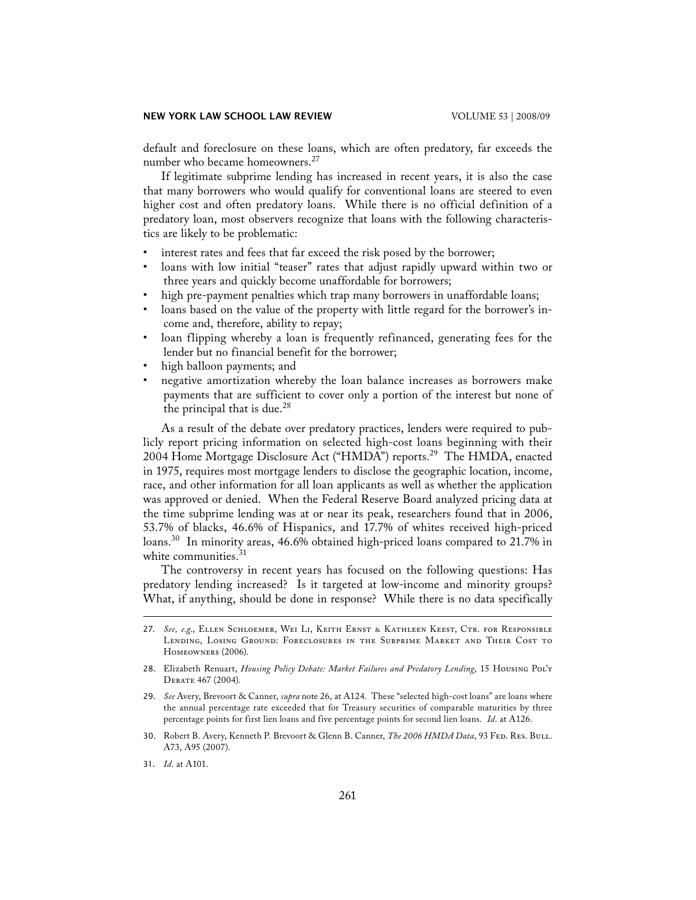#### **NEW YORK LAW SCHOOL LAW REVIEW**  VOLUME 53 | 2008/09

default and foreclosure on these loans, which are often predatory, far exceeds the number who became homeowners.<sup>27</sup>

 If legitimate subprime lending has increased in recent years, it is also the case that many borrowers who would qualify for conventional loans are steered to even higher cost and often predatory loans. While there is no official definition of a predatory loan, most observers recognize that loans with the following characteristics are likely to be problematic:

- interest rates and fees that far exceed the risk posed by the borrower;
- loans with low initial "teaser" rates that adjust rapidly upward within two or three years and quickly become unaffordable for borrowers;
- high pre-payment penalties which trap many borrowers in unaffordable loans;
- loans based on the value of the property with little regard for the borrower's income and, therefore, ability to repay;
- loan flipping whereby a loan is frequently refinanced, generating fees for the lender but no financial benefit for the borrower;
- high balloon payments; and
- negative amortization whereby the loan balance increases as borrowers make payments that are sufficient to cover only a portion of the interest but none of the principal that is due.<sup>28</sup>

 As a result of the debate over predatory practices, lenders were required to publicly report pricing information on selected high-cost loans beginning with their 2004 Home Mortgage Disclosure Act ("HMDA") reports.<sup>29</sup> The HMDA, enacted in 1975, requires most mortgage lenders to disclose the geographic location, income, race, and other information for all loan applicants as well as whether the application was approved or denied. When the Federal Reserve Board analyzed pricing data at the time subprime lending was at or near its peak, researchers found that in 2006, 53.7% of blacks, 46.6% of Hispanics, and 17.7% of whites received high-priced loans.<sup>30</sup> In minority areas, 46.6% obtained high-priced loans compared to 21.7% in white communities.<sup>31</sup>

 The controversy in recent years has focused on the following questions: Has predatory lending increased? Is it targeted at low-income and minority groups? What, if anything, should be done in response? While there is no data specifically

<sup>27.</sup> *See, e*.*g*., Ellen Schloemer, Wei Li, Keith Ernst & Kathleen Keest, Ctr. for Responsible Lending, Losing Ground: Foreclosures in the Subprime Market and Their Cost to Homeowners (2006).

<sup>28.</sup> Elizabeth Renuart, *Housing Policy Debate: Market Failures and Predatory Lending*, 15 Housing Pol'y Debate 467 (2004).

<sup>29.</sup> *See* Avery, Brevoort & Canner, *supra* note 26, at A124. These "selected high-cost loans" are loans where the annual percentage rate exceeded that for Treasury securities of comparable maturities by three percentage points for first lien loans and five percentage points for second lien loans. *Id*. at A126.

<sup>30.</sup> Robert B. Avery, Kenneth P. Brevoort & Glenn B. Canner, *The 2006 HMDA Data*, 93 Fed. Res. Bull. A73, A95 (2007).

<sup>31.</sup> *Id*. at A101.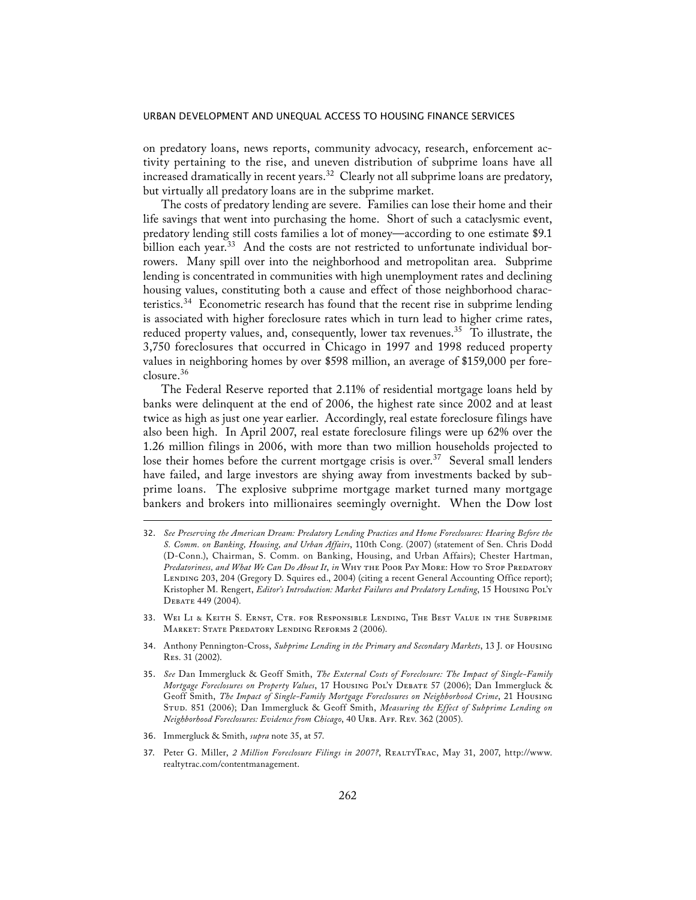on predatory loans, news reports, community advocacy, research, enforcement activity pertaining to the rise, and uneven distribution of subprime loans have all increased dramatically in recent years.<sup>32</sup> Clearly not all subprime loans are predatory, but virtually all predatory loans are in the subprime market.

 The costs of predatory lending are severe. Families can lose their home and their life savings that went into purchasing the home. Short of such a cataclysmic event, predatory lending still costs families a lot of money—according to one estimate \$9.1 billion each year.<sup>33</sup> And the costs are not restricted to unfortunate individual borrowers. Many spill over into the neighborhood and metropolitan area. Subprime lending is concentrated in communities with high unemployment rates and declining housing values, constituting both a cause and effect of those neighborhood characteristics.<sup>34</sup> Econometric research has found that the recent rise in subprime lending is associated with higher foreclosure rates which in turn lead to higher crime rates, reduced property values, and, consequently, lower tax revenues.<sup>35</sup> To illustrate, the 3,750 foreclosures that occurred in Chicago in 1997 and 1998 reduced property values in neighboring homes by over \$598 million, an average of \$159,000 per foreclosure.<sup>36</sup>

 The Federal Reserve reported that 2.11% of residential mortgage loans held by banks were delinquent at the end of 2006, the highest rate since 2002 and at least twice as high as just one year earlier. Accordingly, real estate foreclosure filings have also been high. In April 2007, real estate foreclosure filings were up 62% over the 1.26 million filings in 2006, with more than two million households projected to lose their homes before the current mortgage crisis is over.<sup>37</sup> Several small lenders have failed, and large investors are shying away from investments backed by subprime loans. The explosive subprime mortgage market turned many mortgage bankers and brokers into millionaires seemingly overnight. When the Dow lost

- 32. *See Preserving the American Dream: Predatory Lending Practices and Home Foreclosures: Hearing Before the S. Comm. on Banking, Housing, and Urban Affairs*, 110th Cong. (2007) (statement of Sen. Chris Dodd (D-Conn.), Chairman, S. Comm. on Banking, Housing, and Urban Affairs); Chester Hartman, Predatoriness, and What We Can Do About It, in WHY THE POOR PAY MORE: HOW TO STOP PREDATORY LENDING 203, 204 (Gregory D. Squires ed., 2004) (citing a recent General Accounting Office report); Kristopher M. Rengert, *Editor's Introduction: Market Failures and Predatory Lending*, 15 Housing Pol'y Debate 449 (2004).
- 33. Wei Li & Keith S. Ernst, Ctr. for Responsible Lending, The Best Value in the Subprime MARKET: STATE PREDATORY LENDING REFORMS 2 (2006).
- 34. Anthony Pennington-Cross, *Subprime Lending in the Primary and Secondary Markets*, 13 J. of Housing Res. 31 (2002).
- 35. *See* Dan Immergluck & Geoff Smith, *The External Costs of Foreclosure: The Impact of Single-Family Mortgage Foreclosures on Property Values*, 17 Housing Pol'y Debate 57 (2006); Dan Immergluck & Geoff Smith, *The Impact of Single-Family Mortgage Foreclosures on Neighborhood Crime*, 21 Housing Stud. 851 (2006); Dan Immergluck & Geoff Smith, *Measuring the Effect of Subprime Lending on Neighborhood Foreclosures: Evidence from Chicago*, 40 Urb. Aff. Rev. 362 (2005).
- 36. Immergluck & Smith, *supra* note 35, at 57.
- 37. Peter G. Miller, 2 Million Foreclosure Filings in 2007?, REALTYTRAC, May 31, 2007, http://www. realtytrac.com/contentmanagement.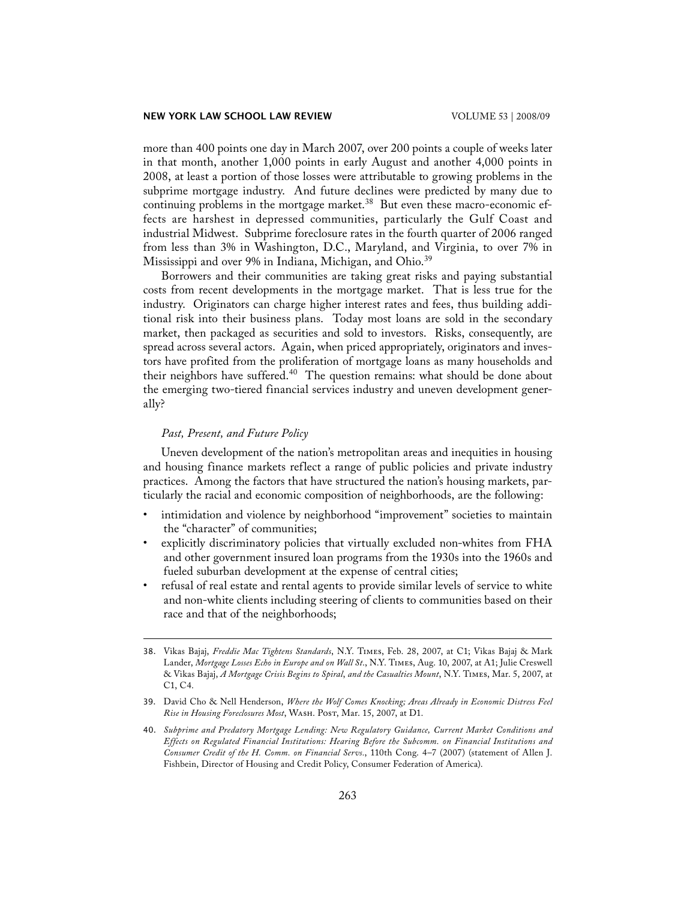more than 400 points one day in March 2007, over 200 points a couple of weeks later in that month, another 1,000 points in early August and another 4,000 points in 2008, at least a portion of those losses were attributable to growing problems in the subprime mortgage industry. And future declines were predicted by many due to continuing problems in the mortgage market. $38$  But even these macro-economic effects are harshest in depressed communities, particularly the Gulf Coast and industrial Midwest. Subprime foreclosure rates in the fourth quarter of 2006 ranged from less than 3% in Washington, D.C., Maryland, and Virginia, to over 7% in Mississippi and over 9% in Indiana, Michigan, and Ohio.<sup>39</sup>

 Borrowers and their communities are taking great risks and paying substantial costs from recent developments in the mortgage market. That is less true for the industry. Originators can charge higher interest rates and fees, thus building additional risk into their business plans. Today most loans are sold in the secondary market, then packaged as securities and sold to investors. Risks, consequently, are spread across several actors. Again, when priced appropriately, originators and investors have profited from the proliferation of mortgage loans as many households and their neighbors have suffered.<sup>40</sup> The question remains: what should be done about the emerging two-tiered financial services industry and uneven development generally?

# *Past, Present, and Future Policy*

 Uneven development of the nation's metropolitan areas and inequities in housing and housing finance markets reflect a range of public policies and private industry practices. Among the factors that have structured the nation's housing markets, particularly the racial and economic composition of neighborhoods, are the following:

- intimidation and violence by neighborhood "improvement" societies to maintain the "character" of communities;
- explicitly discriminatory policies that virtually excluded non-whites from FHA and other government insured loan programs from the 1930s into the 1960s and fueled suburban development at the expense of central cities;
- refusal of real estate and rental agents to provide similar levels of service to white and non-white clients including steering of clients to communities based on their race and that of the neighborhoods;

<sup>38.</sup> Vikas Bajaj, *Freddie Mac Tightens Standards*, N.Y. Times, Feb. 28, 2007, at C1; Vikas Bajaj & Mark Lander, *Mortgage Losses Echo in Europe and on Wall St*., N.Y. Times, Aug. 10, 2007, at A1; Julie Creswell & Vikas Bajaj, *A Mortgage Crisis Begins to Spiral*, *and the Casualties Mount*, N.Y. Times, Mar. 5, 2007, at C1, C4.

<sup>39.</sup> David Cho & Nell Henderson, *Where the Wolf Comes Knocking; Areas Already in Economic Distress Feel Rise in Housing Foreclosures Most*, Wash. Post, Mar. 15, 2007, at D1.

<sup>40.</sup> *Subprime and Predatory Mortgage Lending: New Regulatory Guidance, Current Market Conditions and Effects on Regulated Financial Institutions: Hearing Before the Subcomm. on Financial Institutions and Consumer Credit of the H. Comm. on Financial Servs.*, 110th Cong. 4–7 (2007) (statement of Allen J. Fishbein, Director of Housing and Credit Policy, Consumer Federation of America).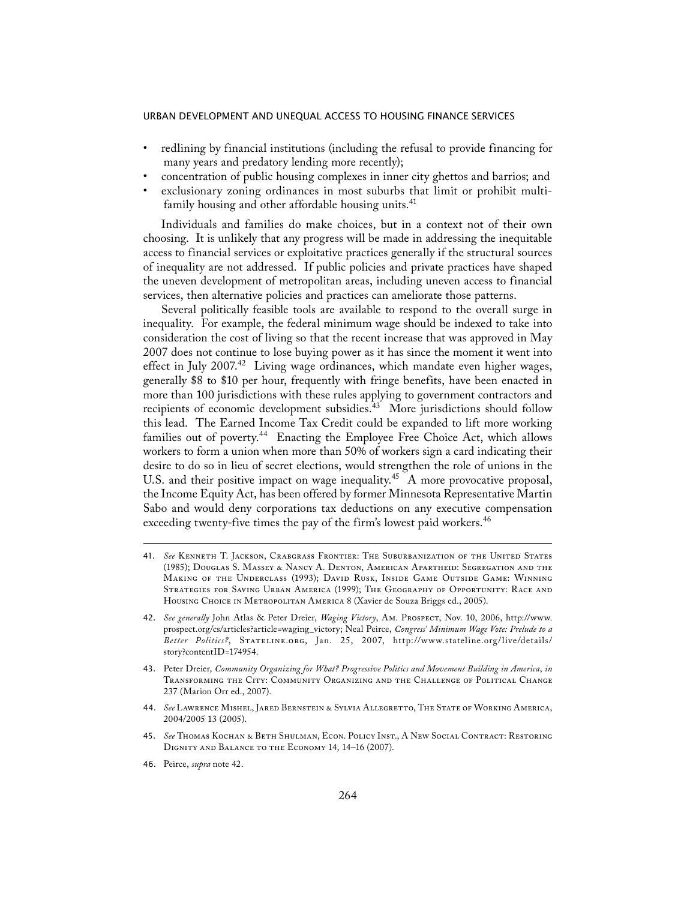- redlining by financial institutions (including the refusal to provide financing for many years and predatory lending more recently);
- concentration of public housing complexes in inner city ghettos and barrios; and
- exclusionary zoning ordinances in most suburbs that limit or prohibit multifamily housing and other affordable housing units.<sup>41</sup>

 Individuals and families do make choices, but in a context not of their own choosing. It is unlikely that any progress will be made in addressing the inequitable access to financial services or exploitative practices generally if the structural sources of inequality are not addressed. If public policies and private practices have shaped the uneven development of metropolitan areas, including uneven access to financial services, then alternative policies and practices can ameliorate those patterns.

 Several politically feasible tools are available to respond to the overall surge in inequality. For example, the federal minimum wage should be indexed to take into consideration the cost of living so that the recent increase that was approved in May 2007 does not continue to lose buying power as it has since the moment it went into effect in July 2007.<sup>42</sup> Living wage ordinances, which mandate even higher wages, generally \$8 to \$10 per hour, frequently with fringe benefits, have been enacted in more than 100 jurisdictions with these rules applying to government contractors and recipients of economic development subsidies. $43$  More jurisdictions should follow this lead. The Earned Income Tax Credit could be expanded to lift more working families out of poverty.<sup>44</sup> Enacting the Employee Free Choice Act, which allows workers to form a union when more than 50% of workers sign a card indicating their desire to do so in lieu of secret elections, would strengthen the role of unions in the U.S. and their positive impact on wage inequality.<sup>45</sup> A more provocative proposal, the Income Equity Act, has been offered by former Minnesota Representative Martin Sabo and would deny corporations tax deductions on any executive compensation exceeding twenty-five times the pay of the firm's lowest paid workers.<sup>46</sup>

- 41. *See* Kenneth T. Jackson, Crabgrass Frontier: The Suburbanization of the United States (1985); Douglas S. Massey & Nancy A. Denton, American Apartheid: Segregation and the Making of the Underclass (1993); David Rusk, Inside Game Outside Game: Winning Strategies for Saving Urban America (1999); The Geography of Opportunity: Race and Housing Choice in Metropolitan America 8 (Xavier de Souza Briggs ed., 2005).
- 42. *See generally* John Atlas & Peter Dreier, *Waging Victory*, Am. Prospect, Nov. 10, 2006, http://www. prospect.org/cs/articles?article=waging\_victory; Neal Peirce, *Congress' Minimum Wage Vote: Prelude to a Better Politics?*, Stateline.org, Jan. 25, 2007, http://www.stateline.org/live/details/ story?contentID=174954.
- 43. Peter Dreier, *Community Organizing for What? Progressive Politics and Movement Building in America*, *in* Transforming the City: Community Organizing and the Challenge of Political Change 237 (Marion Orr ed., 2007).
- 44. *See* Lawrence Mishel, Jared Bernstein & Sylvia Allegretto, The State of Working America, 2004/2005 13 (2005).
- 45. *See* Thomas Kochan & Beth Shulman, Econ. Policy Inst., A New Social Contract: Restoring Dignity and Balance to the Economy 14, 14–16 (2007).
- 46. Peirce, *supra* note 42.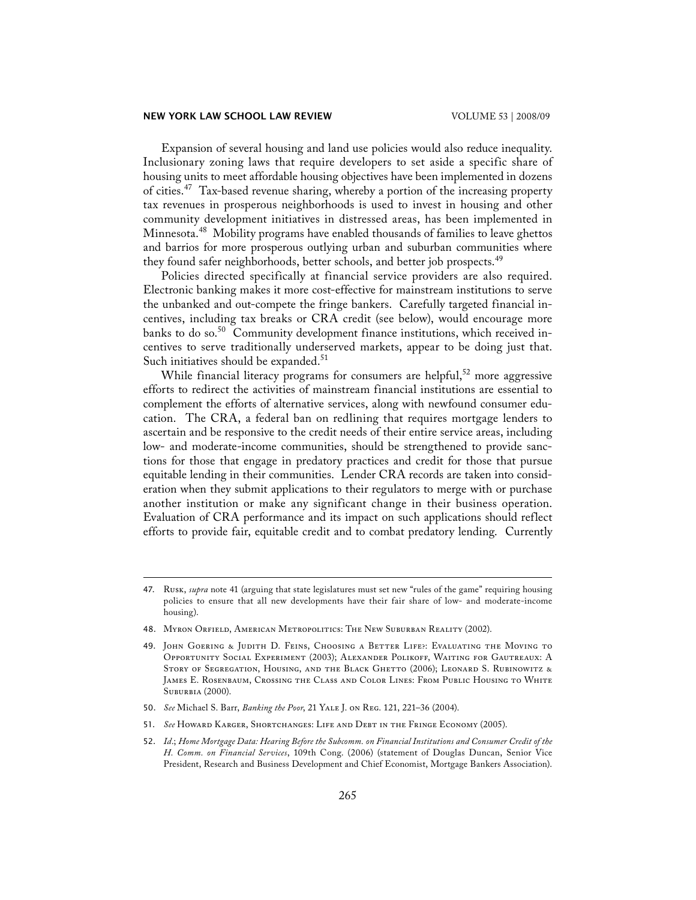## **NEW YORK LAW SCHOOL LAW REVIEW**  VOLUME 53 | 2008/09

 Expansion of several housing and land use policies would also reduce inequality. Inclusionary zoning laws that require developers to set aside a specific share of housing units to meet affordable housing objectives have been implemented in dozens of cities.47 Tax-based revenue sharing, whereby a portion of the increasing property tax revenues in prosperous neighborhoods is used to invest in housing and other community development initiatives in distressed areas, has been implemented in Minnesota.48 Mobility programs have enabled thousands of families to leave ghettos and barrios for more prosperous outlying urban and suburban communities where they found safer neighborhoods, better schools, and better job prospects.<sup>49</sup>

 Policies directed specifically at financial service providers are also required. Electronic banking makes it more cost-effective for mainstream institutions to serve the unbanked and out-compete the fringe bankers. Carefully targeted financial incentives, including tax breaks or CRA credit (see below), would encourage more banks to do so.<sup>50</sup> Community development finance institutions, which received incentives to serve traditionally underserved markets, appear to be doing just that. Such initiatives should be expanded.<sup>51</sup>

While financial literacy programs for consumers are helpful,<sup>52</sup> more aggressive efforts to redirect the activities of mainstream financial institutions are essential to complement the efforts of alternative services, along with newfound consumer education. The CRA, a federal ban on redlining that requires mortgage lenders to ascertain and be responsive to the credit needs of their entire service areas, including low- and moderate-income communities, should be strengthened to provide sanctions for those that engage in predatory practices and credit for those that pursue equitable lending in their communities. Lender CRA records are taken into consideration when they submit applications to their regulators to merge with or purchase another institution or make any significant change in their business operation. Evaluation of CRA performance and its impact on such applications should reflect efforts to provide fair, equitable credit and to combat predatory lending. Currently

<sup>47.</sup> Rusk, *supra* note 41 (arguing that state legislatures must set new "rules of the game" requiring housing policies to ensure that all new developments have their fair share of low- and moderate-income housing).

<sup>48.</sup> Myron Orfield, American Metropolitics: The New Suburban Reality (2002).

<sup>49.</sup> John Goering & Judith D. Feins, Choosing a Better Life?: Evaluating the Moving to Opportunity Social Experiment (2003); Alexander Polikoff, Waiting for Gautreaux: A STORY OF SEGREGATION, HOUSING, AND THE BLACK GHETTO (2006); LEONARD S. RUBINOWITZ & James E. Rosenbaum, Crossing the Class and Color Lines: From Public Housing to White Suburbia (2000).

<sup>50.</sup> *See* Michael S. Barr, *Banking the Poor*, 21 Yale J. on Reg. 121, 221–36 (2004).

<sup>51.</sup> *See* Howard Karger, Shortchanges: Life and Debt in the Fringe Economy (2005).

<sup>52.</sup> *Id*.; *Home Mortgage Data: Hearing Before the Subcomm. on Financial Institutions and Consumer Credit of the H. Comm. on Financial Services*, 109th Cong. (2006) (statement of Douglas Duncan, Senior Vice President, Research and Business Development and Chief Economist, Mortgage Bankers Association).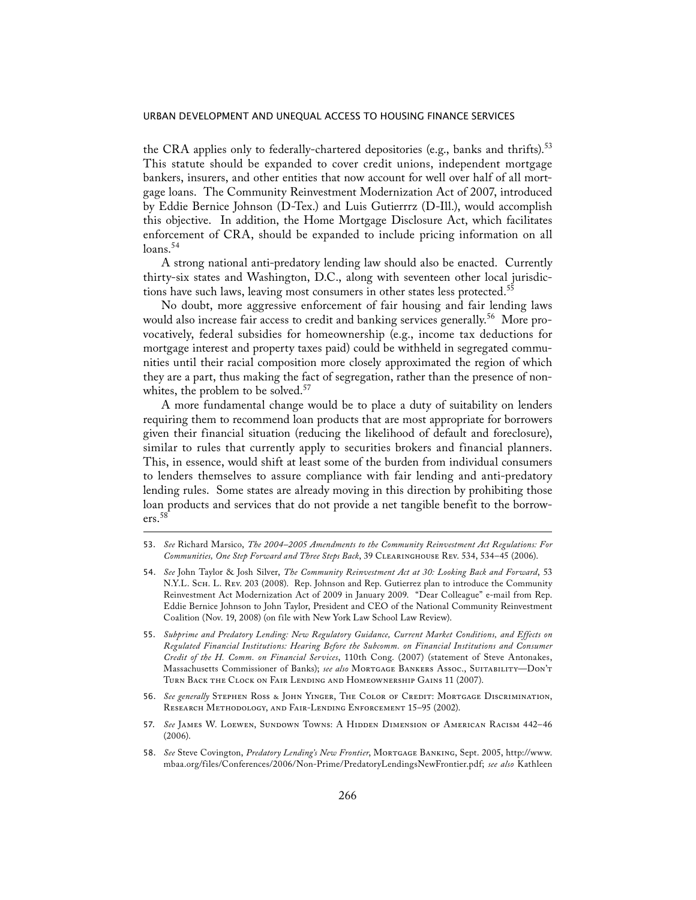the CRA applies only to federally-chartered depositories (e.g., banks and thrifts).<sup>53</sup> This statute should be expanded to cover credit unions, independent mortgage bankers, insurers, and other entities that now account for well over half of all mortgage loans. The Community Reinvestment Modernization Act of 2007, introduced by Eddie Bernice Johnson (D-Tex.) and Luis Gutierrrz (D-Ill.), would accomplish this objective. In addition, the Home Mortgage Disclosure Act, which facilitates enforcement of CRA, should be expanded to include pricing information on all  $loans.<sup>54</sup>$ 

 A strong national anti-predatory lending law should also be enacted. Currently thirty-six states and Washington, D.C., along with seventeen other local jurisdictions have such laws, leaving most consumers in other states less protected.<sup>55</sup>

 No doubt, more aggressive enforcement of fair housing and fair lending laws would also increase fair access to credit and banking services generally.<sup>56</sup> More provocatively, federal subsidies for homeownership (e.g., income tax deductions for mortgage interest and property taxes paid) could be withheld in segregated communities until their racial composition more closely approximated the region of which they are a part, thus making the fact of segregation, rather than the presence of nonwhites, the problem to be solved.<sup>57</sup>

 A more fundamental change would be to place a duty of suitability on lenders requiring them to recommend loan products that are most appropriate for borrowers given their financial situation (reducing the likelihood of default and foreclosure), similar to rules that currently apply to securities brokers and financial planners. This, in essence, would shift at least some of the burden from individual consumers to lenders themselves to assure compliance with fair lending and anti-predatory lending rules. Some states are already moving in this direction by prohibiting those loan products and services that do not provide a net tangible benefit to the borrowers.<sup>58</sup>

- 54. *See* John Taylor & Josh Silver, *The Community Reinvestment Act at 30: Looking Back and Forward*, 53 N.Y.L. Sch. L. Rev. 203 (2008). Rep. Johnson and Rep. Gutierrez plan to introduce the Community Reinvestment Act Modernization Act of 2009 in January 2009. "Dear Colleague" e-mail from Rep. Eddie Bernice Johnson to John Taylor, President and CEO of the National Community Reinvestment Coalition (Nov. 19, 2008) (on file with New York Law School Law Review).
- 55. *Subprime and Predatory Lending: New Regulatory Guidance, Current Market Conditions, and Effects on Regulated Financial Institutions: Hearing Before the Subcomm. on Financial Institutions and Consumer Credit of the H. Comm. on Financial Services*, 110th Cong. (2007) (statement of Steve Antonakes, Massachusetts Commissioner of Banks); *see also* Mortgage Bankers Assoc., Suitability—Don't Turn Back the Clock on Fair Lending and Homeownership Gains 11 (2007).
- 56. *See generally* Stephen Ross & John Yinger, The Color of Credit: Mortgage Discrimination, Research Methodology, and Fair-Lending Enforcement 15–95 (2002).
- 57. *See* James W. Loewen, Sundown Towns: A Hidden Dimension of American Racism 442–46 (2006).
- 58. *See* Steve Covington, *Predatory Lending's New Frontier*, Mortgage Banking, Sept. 2005, http://www. mbaa.org/files/Conferences/2006/Non-Prime/PredatoryLendingsNewFrontier.pdf; *see also* Kathleen

<sup>53.</sup> *See* Richard Marsico, *The 2004–2005 Amendments to the Community Reinvestment Act Regulations: For Communities, One Step Forward and Three Steps Back*, 39 Clearinghouse Rev. 534, 534–45 (2006).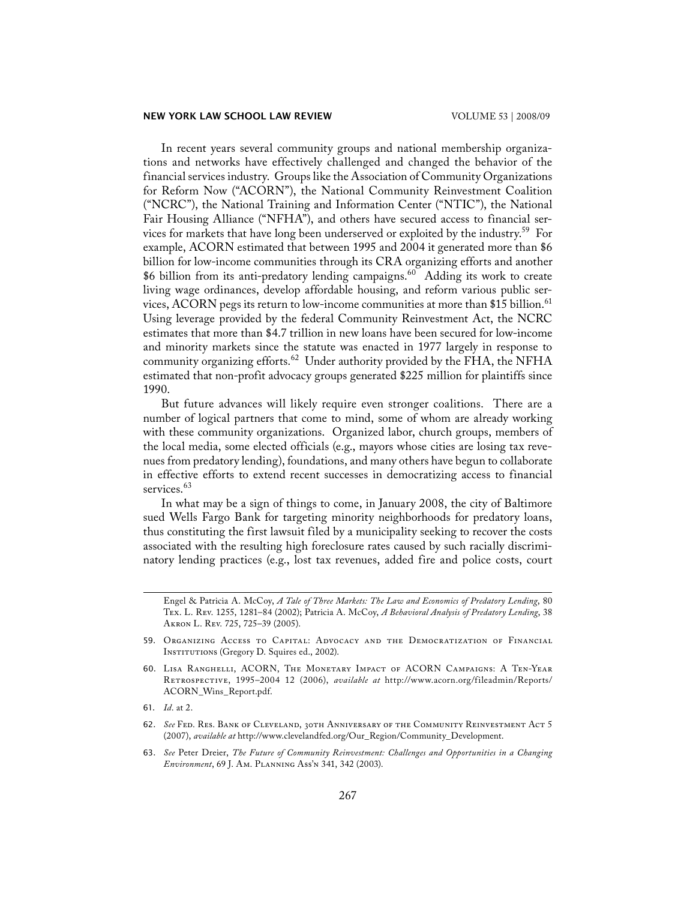#### **NEW YORK LAW SCHOOL LAW REVIEW VOLUME 53 | 2008/09**

 In recent years several community groups and national membership organizations and networks have effectively challenged and changed the behavior of the financial services industry. Groups like the Association of Community Organizations for Reform Now ("ACORN"), the National Community Reinvestment Coalition ("NCRC"), the National Training and Information Center ("NTIC"), the National Fair Housing Alliance ("NFHA"), and others have secured access to financial services for markets that have long been underserved or exploited by the industry.<sup>59</sup> For example, ACORN estimated that between 1995 and 2004 it generated more than \$6 billion for low-income communities through its CRA organizing efforts and another \$6 billion from its anti-predatory lending campaigns.<sup>60</sup> Adding its work to create living wage ordinances, develop affordable housing, and reform various public services, ACORN pegs its return to low-income communities at more than \$15 billion.<sup>61</sup> Using leverage provided by the federal Community Reinvestment Act, the NCRC estimates that more than \$4.7 trillion in new loans have been secured for low-income and minority markets since the statute was enacted in 1977 largely in response to community organizing efforts.<sup>62</sup> Under authority provided by the FHA, the NFHA estimated that non-profit advocacy groups generated \$225 million for plaintiffs since 1990.

 But future advances will likely require even stronger coalitions. There are a number of logical partners that come to mind, some of whom are already working with these community organizations. Organized labor, church groups, members of the local media, some elected officials (e.g., mayors whose cities are losing tax revenues from predatory lending), foundations, and many others have begun to collaborate in effective efforts to extend recent successes in democratizing access to financial services.<sup>63</sup>

 In what may be a sign of things to come, in January 2008, the city of Baltimore sued Wells Fargo Bank for targeting minority neighborhoods for predatory loans, thus constituting the first lawsuit filed by a municipality seeking to recover the costs associated with the resulting high foreclosure rates caused by such racially discriminatory lending practices (e.g., lost tax revenues, added fire and police costs, court

- 61. *Id*. at 2.
- 62. See Fed. Res. Bank of Cleveland, 30th Anniversary of the Community Reinvestment Act 5 (2007), *available at* http://www.clevelandfed.org/Our\_Region/Community\_Development.
- 63. *See* Peter Dreier, *The Future of Community Reinvestment: Challenges and Opportunities in a Changing Environment*, 69 J. Am. Planning Ass'n 341, 342 (2003).

Engel & Patricia A. McCoy, *A Tale of Three Markets: The Law and Economics of Predatory Lending*, 80 Tex. L. Rev. 1255, 1281–84 (2002); Patricia A. McCoy, *A Behavioral Analysis of Predatory Lending*, 38 Akron L. Rev. 725, 725–39 (2005).

<sup>59.</sup> Organizing Access to Capital: Advocacy and the Democratization of Financial INSTITUTIONS (Gregory D. Squires ed., 2002).

<sup>60.</sup> Lisa Ranghelli, ACORN, The Monetary Impact of ACORN Campaigns: A Ten-Year Retrospective, 1995–2004 12 (2006), *available at* http://www.acorn.org/fileadmin/Reports/ ACORN\_Wins\_Report.pdf.